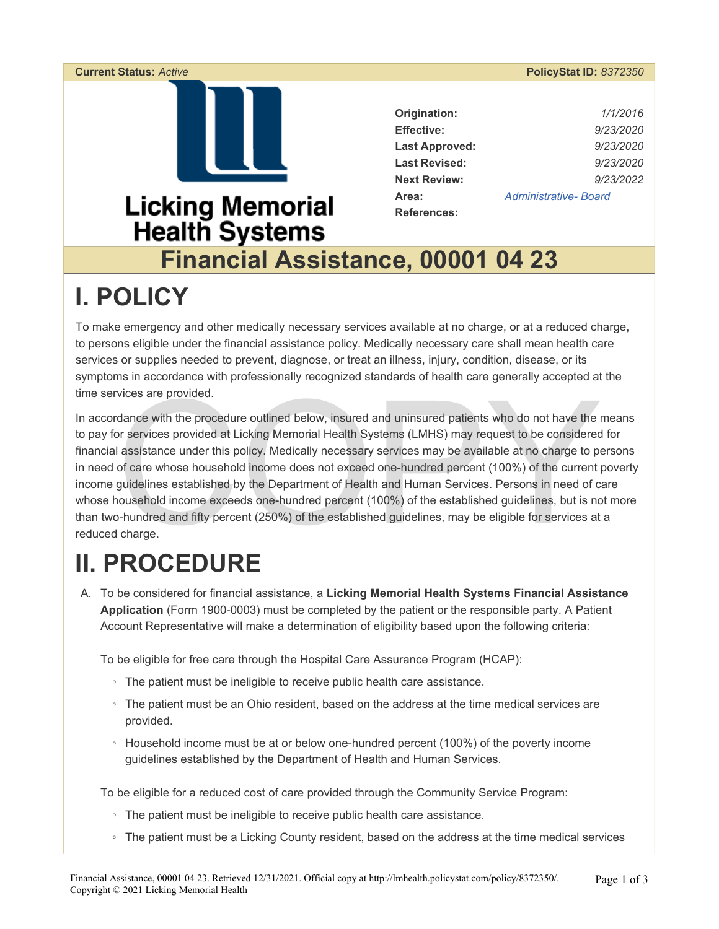### **Current Status:** *Active* **PolicyStat ID:** *8372350*  **Origination:** *1/1/2016*  **Effective:** *9/23/2020*  **Last Approved:** *9/23/2020*  **Last Revised:** *9/23/2020*  **Next Review:** *9/23/2022*  **Area:** *[Administrative- Board](https://lmhealth.policystat.com/policy_search/category/?search_query=&terms=50829)*  **Licking Memorial References: Health Systems Financial Assistance, 00001 04 23**

## **I. POLICY**

To make emergency and other medically necessary services available at no charge, or at a reduced charge, to persons eligible under the financial assistance policy. Medically necessary care shall mean health care services or supplies needed to prevent, diagnose, or treat an illness, injury, condition, disease, or its symptoms in accordance with professionally recognized standards of health care generally accepted at the time services are provided.

vices are provided.<br>
dance with the procedure outlined below, insured and uninsured patients who do not have the provides at Licking Memorial Health Systems (LMHS) may request to be considered<br>
l assistance under this poli In accordance with the procedure outlined below, insured and uninsured patients who do not have the means to pay for services provided at Licking Memorial Health Systems (LMHS) may request to be considered for financial assistance under this policy. Medically necessary services may be available at no charge to persons in need of care whose household income does not exceed one-hundred percent (100%) of the current poverty income guidelines established by the Department of Health and Human Services. Persons in need of care whose household income exceeds one-hundred percent (100%) of the established guidelines, but is not more than two-hundred and fifty percent (250%) of the established guidelines, may be eligible for services at a reduced charge.

# **II. PROCEDURE**

A. To be considered for financial assistance, a **Licking Memorial Health Systems Financial Assistance Application** (Form 1900-0003) must be completed by the patient or the responsible party. A Patient Account Representative will make a determination of eligibility based upon the following criteria:

To be eligible for free care through the Hospital Care Assurance Program (HCAP):

- The patient must be ineligible to receive public health care assistance.
- The patient must be an Ohio resident, based on the address at the time medical services are provided.
- Household income must be at or below one-hundred percent (100%) of the poverty income guidelines established by the Department of Health and Human Services.

To be eligible for a reduced cost of care provided through the Community Service Program:

- The patient must be ineligible to receive public health care assistance.
- The patient must be a Licking County resident, based on the address at the time medical services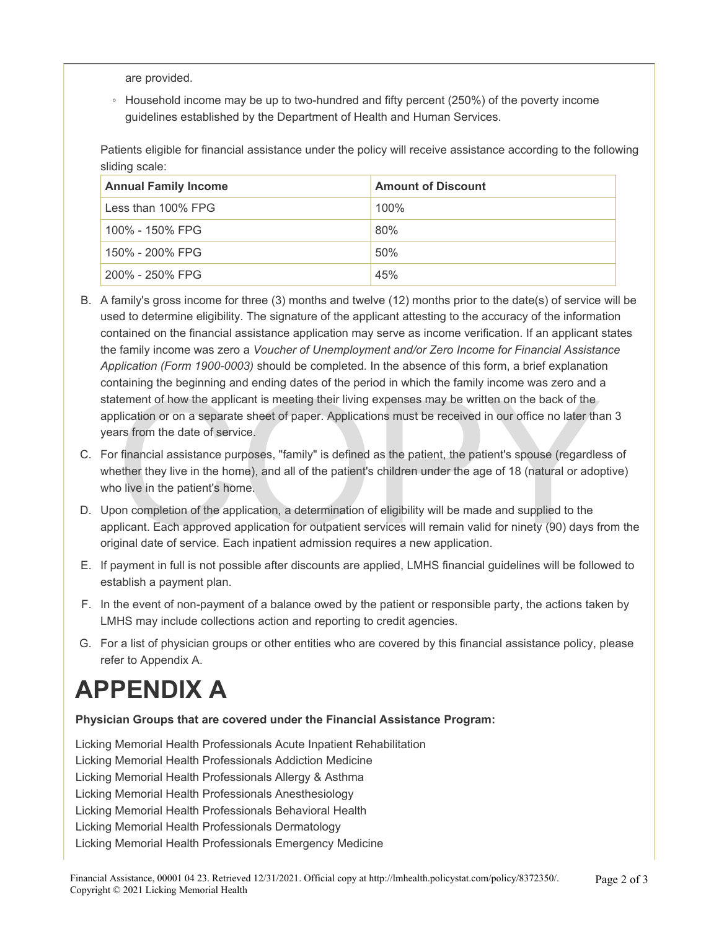are provided.

◦ Household income may be up to two-hundred and fifty percent (250%) of the poverty income guidelines established by the Department of Health and Human Services.

Patients eligible for financial assistance under the policy will receive assistance according to the following sliding scale:

| <b>Annual Family Income</b> | <b>Amount of Discount</b> |
|-----------------------------|---------------------------|
| Less than 100% FPG          | 100%                      |
| 100% - 150% FPG             | 80%                       |
| 150% - 200% FPG             | 50%                       |
| 200% - 250% FPG             | 45%                       |

- Helming the beginning and change dates of the period in which the family income was zero and it defined the control of the plication or on a separate sheet of paper. Applications must be received in our office no later tha B. A family's gross income for three (3) months and twelve (12) months prior to the date(s) of service will be used to determine eligibility. The signature of the applicant attesting to the accuracy of the information contained on the financial assistance application may serve as income verification. If an applicant states the family income was zero a *Voucher of Unemployment and/or Zero Income for Financial Assistance Application (Form 1900-0003)* should be completed. In the absence of this form, a brief explanation containing the beginning and ending dates of the period in which the family income was zero and a statement of how the applicant is meeting their living expenses may be written on the back of the application or on a separate sheet of paper. Applications must be received in our office no later than 3 years from the date of service.
- C. For financial assistance purposes, "family" is defined as the patient, the patient's spouse (regardless of whether they live in the home), and all of the patient's children under the age of 18 (natural or adoptive) who live in the patient's home.
- D. Upon completion of the application, a determination of eligibility will be made and supplied to the applicant. Each approved application for outpatient services will remain valid for ninety (90) days from the original date of service. Each inpatient admission requires a new application.
- E. If payment in full is not possible after discounts are applied, LMHS financial guidelines will be followed to establish a payment plan.
- F. In the event of non-payment of a balance owed by the patient or responsible party, the actions taken by LMHS may include collections action and reporting to credit agencies.
- G. For a list of physician groups or other entities who are covered by this financial assistance policy, please refer to Appendix A.

## **APPENDIX A**

#### **Physician Groups that are covered under the Financial Assistance Program:**

Licking Memorial Health Professionals Acute Inpatient Rehabilitation Licking Memorial Health Professionals Addiction Medicine Licking Memorial Health Professionals Allergy & Asthma Licking Memorial Health Professionals Anesthesiology Licking Memorial Health Professionals Behavioral Health Licking Memorial Health Professionals Dermatology Licking Memorial Health Professionals Emergency Medicine